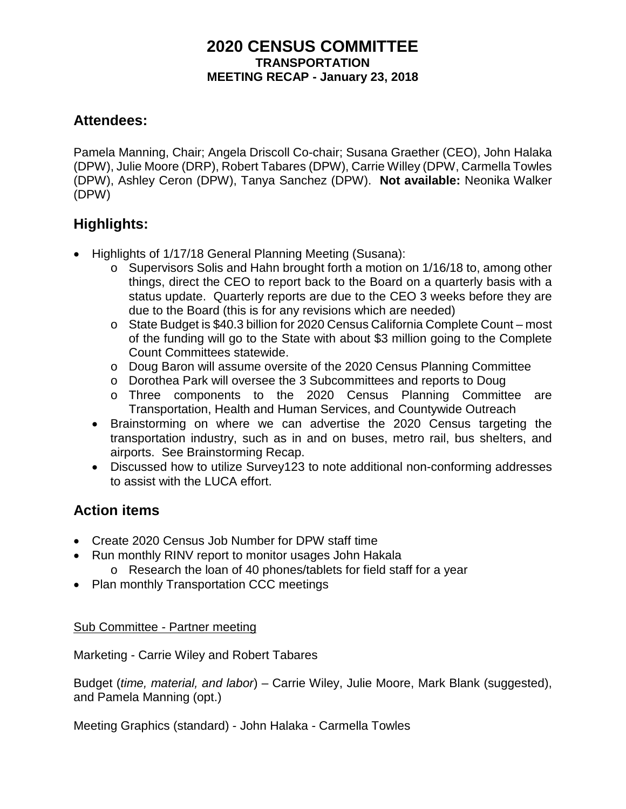### **2020 CENSUS COMMITTEE TRANSPORTATION MEETING RECAP - January 23, 2018**

## **Attendees:**

Pamela Manning, Chair; Angela Driscoll Co-chair; Susana Graether (CEO), John Halaka (DPW), Julie Moore (DRP), Robert Tabares (DPW), Carrie Willey (DPW, Carmella Towles (DPW), Ashley Ceron (DPW), Tanya Sanchez (DPW). **Not available:** Neonika Walker (DPW)

# **Highlights:**

- Highlights of 1/17/18 General Planning Meeting (Susana):
	- o Supervisors Solis and Hahn brought forth a motion on 1/16/18 to, among other things, direct the CEO to report back to the Board on a quarterly basis with a status update. Quarterly reports are due to the CEO 3 weeks before they are due to the Board (this is for any revisions which are needed)
	- o State Budget is \$40.3 billion for 2020 Census California Complete Count most of the funding will go to the State with about \$3 million going to the Complete Count Committees statewide.
	- o Doug Baron will assume oversite of the 2020 Census Planning Committee
	- o Dorothea Park will oversee the 3 Subcommittees and reports to Doug
	- o Three components to the 2020 Census Planning Committee are Transportation, Health and Human Services, and Countywide Outreach
	- Brainstorming on where we can advertise the 2020 Census targeting the transportation industry, such as in and on buses, metro rail, bus shelters, and airports. See Brainstorming Recap.
	- Discussed how to utilize Survey123 to note additional non-conforming addresses to assist with the LUCA effort.

## **Action items**

- Create 2020 Census Job Number for DPW staff time
- Run monthly RINV report to monitor usages John Hakala o Research the loan of 40 phones/tablets for field staff for a year
- Plan monthly Transportation CCC meetings

#### Sub Committee - Partner meeting

Marketing - Carrie Wiley and Robert Tabares

Budget (*time, material, and labor*) – Carrie Wiley, Julie Moore, Mark Blank (suggested), and Pamela Manning (opt.)

Meeting Graphics (standard) - John Halaka - Carmella Towles